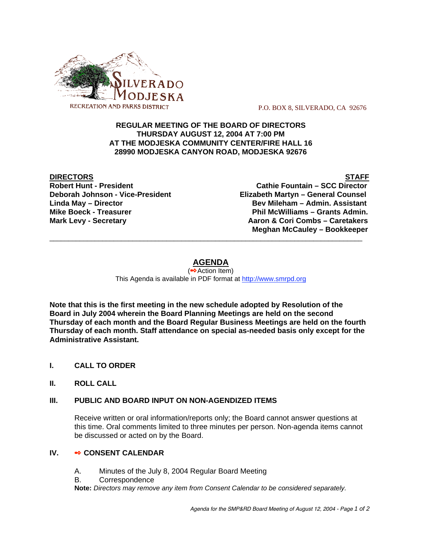

P.O. BOX 8, SILVERADO, CA 92676

## **REGULAR MEETING OF THE BOARD OF DIRECTORS THURSDAY AUGUST 12, 2004 AT 7:00 PM AT THE MODJESKA COMMUNITY CENTER/FIRE HALL 16 28990 MODJESKA CANYON ROAD, MODJESKA 92676**

**DIRECTORS** STAFF

**Robert Hunt - President Cathie Fountain – SCC Director Deborah Johnson - Vice-President Elizabeth Martyn – General Counsel Linda May – Director Bev Mileham – Admin. Assistant Mike Boeck - Treasurer Phil McWilliams – Grants Admin. Mark Levy - Secretary Combs – Caretakers** Aaron & Cori Combs – Caretakers  **Meghan McCauley – Bookkeeper** \_\_\_\_\_\_\_\_\_\_\_\_\_\_\_\_\_\_\_\_\_\_\_\_\_\_\_\_\_\_\_\_\_\_\_\_\_\_\_\_\_\_\_\_\_\_\_\_\_\_\_\_\_\_\_\_\_\_\_\_\_\_\_\_\_\_\_\_\_\_\_\_\_\_\_\_\_\_\_\_\_\_\_

# **AGENDA**

(<sup>●◆</sup>Action Item) This Agenda is available in PDF format at http://www.smrpd.org

**Note that this is the first meeting in the new schedule adopted by Resolution of the Board in July 2004 wherein the Board Planning Meetings are held on the second Thursday of each month and the Board Regular Business Meetings are held on the fourth Thursday of each month. Staff attendance on special as-needed basis only except for the Administrative Assistant.**

- **I. CALL TO ORDER**
- **II. ROLL CALL**

#### **III. PUBLIC AND BOARD INPUT ON NON-AGENDIZED ITEMS**

Receive written or oral information/reports only; the Board cannot answer questions at this time. Oral comments limited to three minutes per person. Non-agenda items cannot be discussed or acted on by the Board.

#### **IV.**  $\bullet \bullet$  CONSENT CALENDAR

- A. Minutes of the July 8, 2004 Regular Board Meeting
- B. Correspondence

**Note:** *Directors may remove any item from Consent Calendar to be considered separately.*